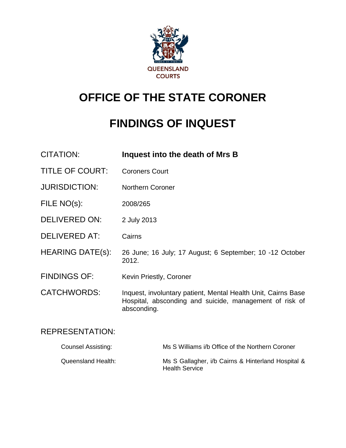

# **OFFICE OF THE STATE CORONER**

# **FINDINGS OF INQUEST**

| <b>CITATION:</b>        | Inquest into the death of Mrs B                                                                                                         |
|-------------------------|-----------------------------------------------------------------------------------------------------------------------------------------|
| <b>TITLE OF COURT:</b>  | <b>Coroners Court</b>                                                                                                                   |
| <b>JURISDICTION:</b>    | <b>Northern Coroner</b>                                                                                                                 |
| FILE NO(s):             | 2008/265                                                                                                                                |
| <b>DELIVERED ON:</b>    | 2 July 2013                                                                                                                             |
| DELIVERED AT:           | Cairns                                                                                                                                  |
| <b>HEARING DATE(s):</b> | 26 June; 16 July; 17 August; 6 September; 10 -12 October<br>2012.                                                                       |
| <b>FINDINGS OF:</b>     | Kevin Priestly, Coroner                                                                                                                 |
| <b>CATCHWORDS:</b>      | Inquest, involuntary patient, Mental Health Unit, Cairns Base<br>Hospital, absconding and suicide, management of risk of<br>absconding. |

## REPRESENTATION:

| Counsel Assisting: | Ms S Williams i/b Office of the Northern Coroner                            |
|--------------------|-----------------------------------------------------------------------------|
| Queensland Health: | Ms S Gallagher, i/b Cairns & Hinterland Hospital &<br><b>Health Service</b> |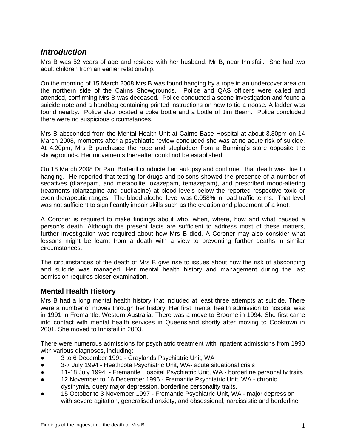### *Introduction*

Mrs B was 52 years of age and resided with her husband, Mr B, near Innisfail. She had two adult children from an earlier relationship.

On the morning of 15 March 2008 Mrs B was found hanging by a rope in an undercover area on the northern side of the Cairns Showgrounds. Police and QAS officers were called and attended, confirming Mrs B was deceased. Police conducted a scene investigation and found a suicide note and a handbag containing printed instructions on how to tie a noose. A ladder was found nearby. Police also located a coke bottle and a bottle of Jim Beam. Police concluded there were no suspicious circumstances.

Mrs B absconded from the Mental Health Unit at Cairns Base Hospital at about 3.30pm on 14 March 2008, moments after a psychiatric review concluded she was at no acute risk of suicide. At 4.20pm, Mrs B purchased the rope and stepladder from a Bunning's store opposite the showgrounds. Her movements thereafter could not be established.

On 18 March 2008 Dr Paul Botterill conducted an autopsy and confirmed that death was due to hanging. He reported that testing for drugs and poisons showed the presence of a number of sedatives (diazepam, and metabolite, oxazepam, temazepam), and prescribed mood-altering treatments (olanzapine and quetiapine) at blood levels below the reported respective toxic or even therapeutic ranges. The blood alcohol level was 0.058% in road traffic terms. That level was not sufficient to significantly impair skills such as the creation and placement of a knot.

A Coroner is required to make findings about who, when, where, how and what caused a person's death. Although the present facts are sufficient to address most of these matters, further investigation was required about how Mrs B died. A Coroner may also consider what lessons might be learnt from a death with a view to preventing further deaths in similar circumstances.

The circumstances of the death of Mrs B give rise to issues about how the risk of absconding and suicide was managed. Her mental health history and management during the last admission requires closer examination.

#### **Mental Health History**

Mrs B had a long mental health history that included at least three attempts at suicide. There were a number of moves through her history. Her first mental health admission to hospital was in 1991 in Fremantle, Western Australia. There was a move to Broome in 1994. She first came into contact with mental health services in Queensland shortly after moving to Cooktown in 2001. She moved to Innisfail in 2003.

There were numerous admissions for psychiatric treatment with inpatient admissions from 1990 with various diagnoses, including:

- 3 to 6 December 1991 Graylands Psychiatric Unit, WA
- 3-7 July 1994 Heathcote Psychiatric Unit, WA- acute situational crisis
- 11-18 July 1994 Fremantle Hospital Psychiatric Unit, WA borderline personality traits
- 12 November to 16 December 1996 Fremantle Psychiatric Unit, WA chronic dysthymia, query major depression, borderline personality traits.
- 15 October to 3 November 1997 Fremantle Psychiatric Unit, WA major depression with severe agitation, generalised anxiety, and obsessional, narcissistic and borderline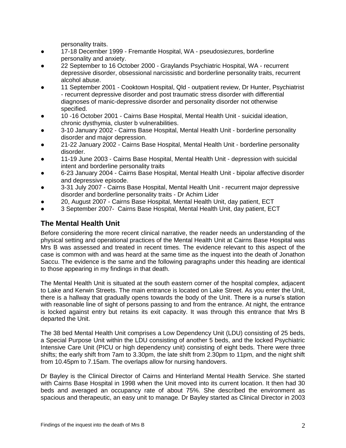personality traits.

- 17-18 December 1999 Fremantle Hospital, WA pseudosiezures, borderline personality and anxiety.
- 22 September to 16 October 2000 Graylands Psychiatric Hospital, WA recurrent depressive disorder, obsessional narcissistic and borderline personality traits, recurrent alcohol abuse.
- 11 September 2001 Cooktown Hospital, Qld outpatient review, Dr Hunter, Psychiatrist - recurrent depressive disorder and post traumatic stress disorder with differential diagnoses of manic-depressive disorder and personality disorder not otherwise specified.
- 10 -16 October 2001 Cairns Base Hospital, Mental Health Unit suicidal ideation, chronic dysthymia, cluster b vulnerabilities.
- 3-10 January 2002 Cairns Base Hospital, Mental Health Unit borderline personality disorder and major depression.
- 21-22 January 2002 Cairns Base Hospital, Mental Health Unit borderline personality disorder.
- 11-19 June 2003 Cairns Base Hospital, Mental Health Unit depression with suicidal intent and borderline personality traits
- 6-23 January 2004 Cairns Base Hospital, Mental Health Unit bipolar affective disorder and depressive episode.
- 3-31 July 2007 Cairns Base Hospital, Mental Health Unit recurrent major depressive disorder and borderline personality traits - Dr Achim Lider
- 20, August 2007 Cairns Base Hospital, Mental Health Unit, day patient, ECT
- 3 September 2007- Cairns Base Hospital, Mental Health Unit, day patient, ECT

#### **The Mental Health Unit**

Before considering the more recent clinical narrative, the reader needs an understanding of the physical setting and operational practices of the Mental Health Unit at Cairns Base Hospital was Mrs B was assessed and treated in recent times. The evidence relevant to this aspect of the case is common with and was heard at the same time as the inquest into the death of Jonathon Saccu. The evidence is the same and the following paragraphs under this heading are identical to those appearing in my findings in that death.

The Mental Health Unit is situated at the south eastern corner of the hospital complex, adjacent to Lake and Kerwin Streets. The main entrance is located on Lake Street. As you enter the Unit, there is a hallway that gradually opens towards the body of the Unit. There is a nurse's station with reasonable line of sight of persons passing to and from the entrance. At night, the entrance is locked against entry but retains its exit capacity. It was through this entrance that Mrs B departed the Unit.

The 38 bed Mental Health Unit comprises a Low Dependency Unit (LDU) consisting of 25 beds, a Special Purpose Unit within the LDU consisting of another 5 beds, and the locked Psychiatric Intensive Care Unit (PICU or high dependency unit) consisting of eight beds. There were three shifts; the early shift from 7am to 3.30pm, the late shift from 2.30pm to 11pm, and the night shift from 10.45pm to 7.15am. The overlaps allow for nursing handovers.

Dr Bayley is the Clinical Director of Cairns and Hinterland Mental Health Service. She started with Cairns Base Hospital in 1998 when the Unit moved into its current location. It then had 30 beds and averaged an occupancy rate of about 75%. She described the environment as spacious and therapeutic, an easy unit to manage. Dr Bayley started as Clinical Director in 2003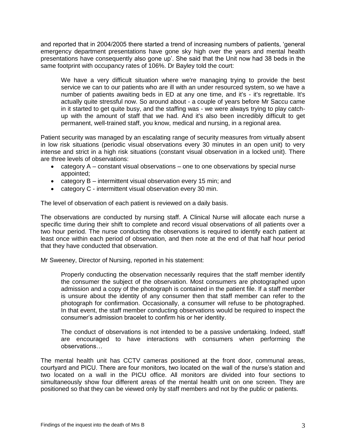and reported that in 2004/2005 there started a trend of increasing numbers of patients, 'general emergency department presentations have gone sky high over the years and mental health presentations have consequently also gone up'. She said that the Unit now had 38 beds in the same footprint with occupancy rates of 106%. Dr Bayley told the court:

We have a very difficult situation where we're managing trying to provide the best service we can to our patients who are ill with an under resourced system, so we have a number of patients awaiting beds in ED at any one time, and it's - it's regrettable. It's actually quite stressful now. So around about - a couple of years before Mr Saccu came in it started to get quite busy, and the staffing was - we were always trying to play catchup with the amount of staff that we had. And it's also been incredibly difficult to get permanent, well-trained staff, you know, medical and nursing, in a regional area.

Patient security was managed by an escalating range of security measures from virtually absent in low risk situations (periodic visual observations every 30 minutes in an open unit) to very intense and strict in a high risk situations (constant visual observation in a locked unit). There are three levels of observations:

- category A constant visual observations one to one observations by special nurse appointed;
- category B intermittent visual observation every 15 min; and
- category C intermittent visual observation every 30 min.

The level of observation of each patient is reviewed on a daily basis.

The observations are conducted by nursing staff. A Clinical Nurse will allocate each nurse a specific time during their shift to complete and record visual observations of all patients over a two hour period. The nurse conducting the observations is required to identify each patient at least once within each period of observation, and then note at the end of that half hour period that they have conducted that observation.

Mr Sweeney, Director of Nursing, reported in his statement:

Properly conducting the observation necessarily requires that the staff member identify the consumer the subject of the observation. Most consumers are photographed upon admission and a copy of the photograph is contained in the patient file. If a staff member is unsure about the identity of any consumer then that staff member can refer to the photograph for confirmation. Occasionally, a consumer will refuse to be photographed. In that event, the staff member conducting observations would be required to inspect the consumer's admission bracelet to confirm his or her identity.

The conduct of observations is not intended to be a passive undertaking. Indeed, staff are encouraged to have interactions with consumers when performing the observations…

The mental health unit has CCTV cameras positioned at the front door, communal areas, courtyard and PICU. There are four monitors, two located on the wall of the nurse's station and two located on a wall in the PICU office. All monitors are divided into four sections to simultaneously show four different areas of the mental health unit on one screen. They are positioned so that they can be viewed only by staff members and not by the public or patients.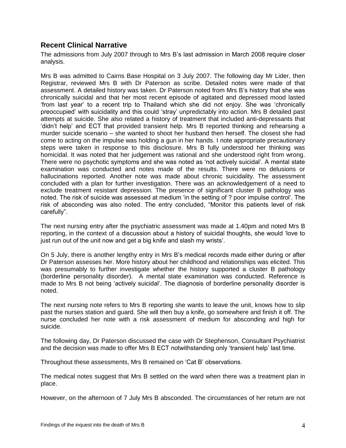#### **Recent Clinical Narrative**

The admissions from July 2007 through to Mrs B's last admission in March 2008 require closer analysis.

Mrs B was admitted to Cairns Base Hospital on 3 July 2007. The following day Mr Lider, then Registrar, reviewed Mrs B with Dr Paterson as scribe. Detailed notes were made of that assessment. A detailed history was taken. Dr Paterson noted from Mrs B's history that she was chronically suicidal and that her most recent episode of agitated and depressed mood lasted 'from last year' to a recent trip to Thailand which she did not enjoy. She was 'chronically preoccupied' with suicidality and this could 'stray' unpredictably into action. Mrs B detailed past attempts at suicide. She also related a history of treatment that included anti-depressants that 'didn't help' and ECT that provided transient help. Mrs B reported thinking and rehearsing a murder suicide scenario – she wanted to shoot her husband then herself. The closest she had come to acting on the impulse was holding a gun in her hands. I note appropriate precautionary steps were taken in response to this disclosure. Mrs B fully understood her thinking was homicidal. It was noted that her judgement was rational and she understood right from wrong. There were no psychotic symptoms and she was noted as 'not actively suicidal'. A mental state examination was conducted and notes made of the results. There were no delusions or hallucinations reported. Another note was made about chronic suicidality. The assessment concluded with a plan for further investigation. There was an acknowledgement of a need to exclude treatment resistant depression. The presence of significant cluster B pathology was noted. The risk of suicide was assessed at medium 'in the setting of ? poor impulse control'. The risk of absconding was also noted. The entry concluded, "Monitor this patients level of risk carefully".

The next nursing entry after the psychiatric assessment was made at 1.40pm and noted Mrs B reporting, in the context of a discussion about a history of suicidal thoughts, she would 'love to just run out of the unit now and get a big knife and slash my wrists'.

On 5 July, there is another lengthy entry in Mrs B's medical records made either during or after Dr Paterson assesses her. More history about her childhood and relationships was elicited. This was presumably to further investigate whether the history supported a cluster B pathology (borderline personality disorder). A mental state examination was conducted. Reference is made to Mrs B not being 'actively suicidal'. The diagnosis of borderline personality disorder is noted.

The next nursing note refers to Mrs B reporting she wants to leave the unit, knows how to slip past the nurses station and guard. She will then buy a knife, go somewhere and finish it off. The nurse concluded her note with a risk assessment of medium for absconding and high for suicide.

The following day, Dr Paterson discussed the case with Dr Stephenson, Consultant Psychiatrist and the decision was made to offer Mrs B ECT notwithstanding only 'transient help' last time.

Throughout these assessments, Mrs B remained on 'Cat B' observations.

The medical notes suggest that Mrs B settled on the ward when there was a treatment plan in place.

However, on the afternoon of 7 July Mrs B absconded. The circumstances of her return are not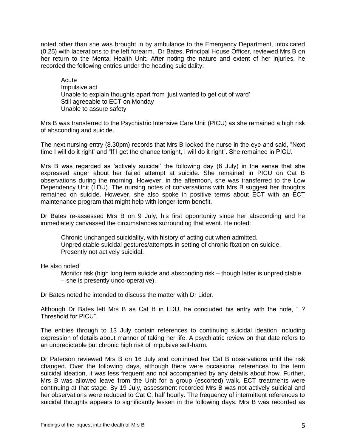noted other than she was brought in by ambulance to the Emergency Department, intoxicated (0.25) with lacerations to the left forearm. Dr Bates, Principal House Officer, reviewed Mrs B on her return to the Mental Health Unit. After noting the nature and extent of her injuries, he recorded the following entries under the heading suicidality:

Acute Impulsive act Unable to explain thoughts apart from 'just wanted to get out of ward' Still agreeable to ECT on Monday Unable to assure safety

Mrs B was transferred to the Psychiatric Intensive Care Unit (PICU) as she remained a high risk of absconding and suicide.

The next nursing entry (8.30pm) records that Mrs B looked the nurse in the eye and said, "Next time I will do it right' and "If I get the chance tonight, I will do it right". She remained in PICU.

Mrs B was regarded as 'actively suicidal' the following day (8 July) in the sense that she expressed anger about her failed attempt at suicide. She remained in PICU on Cat B observations during the morning. However, in the afternoon, she was transferred to the Low Dependency Unit (LDU). The nursing notes of conversations with Mrs B suggest her thoughts remained on suicide. However, she also spoke in positive terms about ECT with an ECT maintenance program that might help with longer-term benefit.

Dr Bates re-assessed Mrs B on 9 July, his first opportunity since her absconding and he immediately canvassed the circumstances surrounding that event. He noted:

Chronic unchanged suicidality, with history of acting out when admitted. Unpredictable suicidal gestures/attempts in setting of chronic fixation on suicide. Presently not actively suicidal.

He also noted:

Monitor risk (high long term suicide and absconding risk – though latter is unpredictable – she is presently unco-operative).

Dr Bates noted he intended to discuss the matter with Dr Lider.

Although Dr Bates left Mrs B as Cat B in LDU, he concluded his entry with the note, " ? Threshold for PICU".

The entries through to 13 July contain references to continuing suicidal ideation including expression of details about manner of taking her life. A psychiatric review on that date refers to an unpredictable but chronic high risk of impulsive self-harm.

Dr Paterson reviewed Mrs B on 16 July and continued her Cat B observations until the risk changed. Over the following days, although there were occasional references to the term suicidal ideation, it was less frequent and not accompanied by any details about how. Further, Mrs B was allowed leave from the Unit for a group (escorted) walk. ECT treatments were continuing at that stage. By 19 July, assessment recorded Mrs B was not actively suicidal and her observations were reduced to Cat C, half hourly. The frequency of intermittent references to suicidal thoughts appears to significantly lessen in the following days. Mrs B was recorded as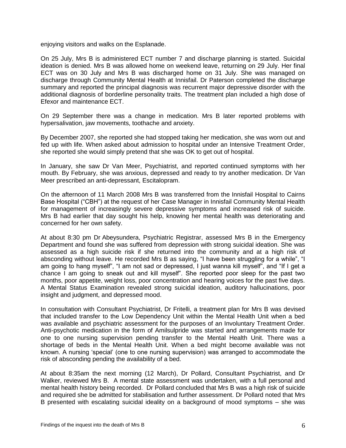enjoying visitors and walks on the Esplanade.

On 25 July, Mrs B is administered ECT number 7 and discharge planning is started. Suicidal ideation is denied. Mrs B was allowed home on weekend leave, returning on 29 July. Her final ECT was on 30 July and Mrs B was discharged home on 31 July. She was managed on discharge through Community Mental Health at Innisfail. Dr Paterson completed the discharge summary and reported the principal diagnosis was recurrent major depressive disorder with the additional diagnosis of borderline personality traits. The treatment plan included a high dose of Efexor and maintenance ECT.

On 29 September there was a change in medication. Mrs B later reported problems with hypersalivation, jaw movements, toothache and anxiety.

By December 2007, she reported she had stopped taking her medication, she was worn out and fed up with life. When asked about admission to hospital under an Intensive Treatment Order, she reported she would simply pretend that she was OK to get out of hospital.

In January, she saw Dr Van Meer, Psychiatrist, and reported continued symptoms with her mouth. By February, she was anxious, depressed and ready to try another medication. Dr Van Meer prescribed an anti-depressant, Escitalopram.

On the afternoon of 11 March 2008 Mrs B was transferred from the Innisfail Hospital to Cairns Base Hospital ("CBH") at the request of her Case Manager in Innisfail Community Mental Health for management of increasingly severe depressive symptoms and increased risk of suicide. Mrs B had earlier that day sought his help, knowing her mental health was deteriorating and concerned for her own safety.

At about 8:30 pm Dr Abeysundera, Psychiatric Registrar, assessed Mrs B in the Emergency Department and found she was suffered from depression with strong suicidal ideation. She was assessed as a high suicide risk if she returned into the community and at a high risk of absconding without leave. He recorded Mrs B as saying, "I have been struggling for a while", "I am going to hang myself", "I am not sad or depressed, I just wanna kill myself", and "If I get a chance I am going to sneak out and kill myself". She reported poor sleep for the past two months, poor appetite, weight loss, poor concentration and hearing voices for the past five days. A Mental Status Examination revealed strong suicidal ideation, auditory hallucinations, poor insight and judgment, and depressed mood.

In consultation with Consultant Psychiatrist, Dr Fritelli, a treatment plan for Mrs B was devised that included transfer to the Low Dependency Unit within the Mental Health Unit when a bed was available and psychiatric assessment for the purposes of an Involuntary Treatment Order. Anti-psychotic medication in the form of Amilsulpride was started and arrangements made for one to one nursing supervision pending transfer to the Mental Health Unit. There was a shortage of beds in the Mental Health Unit. When a bed might become available was not known. A nursing 'special' (one to one nursing supervision) was arranged to accommodate the risk of absconding pending the availability of a bed.

At about 8:35am the next morning (12 March), Dr Pollard, Consultant Psychiatrist, and Dr Walker, reviewed Mrs B. A mental state assessment was undertaken, with a full personal and mental health history being recorded. Dr Pollard concluded that Mrs B was a high risk of suicide and required she be admitted for stabilisation and further assessment. Dr Pollard noted that Mrs B presented with escalating suicidal ideality on a background of mood symptoms – she was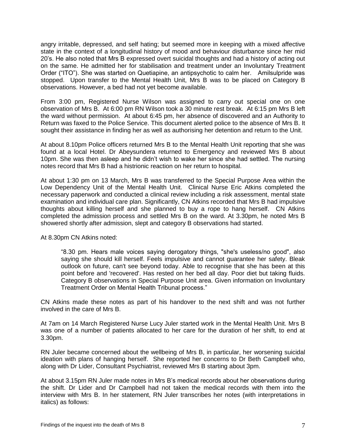angry irritable, depressed, and self hating; but seemed more in keeping with a mixed affective state in the context of a longitudinal history of mood and behaviour disturbance since her mid 20's. He also noted that Mrs B expressed overt suicidal thoughts and had a history of acting out on the same. He admitted her for stabilisation and treatment under an Involuntary Treatment Order ("ITO"). She was started on Quetiapine, an antipsychotic to calm her. Amilsulpride was stopped. Upon transfer to the Mental Health Unit, Mrs B was to be placed on Category B observations. However, a bed had not yet become available.

From 3:00 pm, Registered Nurse Wilson was assigned to carry out special one on one observation of Mrs B. At 6:00 pm RN Wilson took a 30 minute rest break. At 6:15 pm Mrs B left the ward without permission. At about 6:45 pm, her absence of discovered and an Authority to Return was faxed to the Police Service. This document alerted police to the absence of Mrs B. It sought their assistance in finding her as well as authorising her detention and return to the Unit.

At about 8.10pm Police officers returned Mrs B to the Mental Health Unit reporting that she was found at a local Hotel. Dr Abeysundera returned to Emergency and reviewed Mrs B about 10pm. She was then asleep and he didn't wish to wake her since she had settled. The nursing notes record that Mrs B had a histrionic reaction on her return to hospital.

At about 1:30 pm on 13 March, Mrs B was transferred to the Special Purpose Area within the Low Dependency Unit of the Mental Health Unit. Clinical Nurse Eric Atkins completed the necessary paperwork and conducted a clinical review including a risk assessment, mental state examination and individual care plan. Significantly, CN Atkins recorded that Mrs B had impulsive thoughts about killing herself and she planned to buy a rope to hang herself. CN Atkins completed the admission process and settled Mrs B on the ward. At 3.30pm, he noted Mrs B showered shortly after admission, slept and category B observations had started.

At 8.30pm CN Atkins noted:

"8.30 pm. Hears male voices saying derogatory things, "she's useless/no good", also saying she should kill herself. Feels impulsive and cannot guarantee her safety. Bleak outlook on future, can't see beyond today. Able to recognise that she has been at this point before and 'recovered'. Has rested on her bed all day. Poor diet but taking fluids. Category B observations in Special Purpose Unit area. Given information on Involuntary Treatment Order on Mental Health Tribunal process."

CN Atkins made these notes as part of his handover to the next shift and was not further involved in the care of Mrs B.

At 7am on 14 March Registered Nurse Lucy Juler started work in the Mental Health Unit. Mrs B was one of a number of patients allocated to her care for the duration of her shift, to end at 3.30pm.

RN Juler became concerned about the wellbeing of Mrs B, in particular, her worsening suicidal ideation with plans of hanging herself. She reported her concerns to Dr Beth Campbell who, along with Dr Lider, Consultant Psychiatrist, reviewed Mrs B starting about 3pm.

At about 3.15pm RN Juler made notes in Mrs B's medical records about her observations during the shift. Dr Lider and Dr Campbell had not taken the medical records with them into the interview with Mrs B. In her statement, RN Juler transcribes her notes (with interpretations in italics) as follows: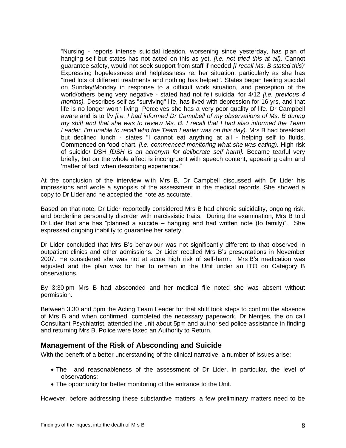"Nursing - reports intense suicidal ideation, worsening since yesterday, has plan of hanging self but states has not acted on this as yet. *[i.e. not tried this at all).* Cannot guarantee safety, would not seek support from staff if needed *[I recall Ms. B stated this)'*  Expressing hopelessness and helplessness re: her situation, particularly as she has "tried lots of different treatments and nothing has helped". States began feeling suicidal on Sunday/Monday in response to a difficult work situation, and perception of the world/others being very negative - stated had not felt suicidal for 4/12 *[i.e. previous 4 months).* Describes self as "surviving" life, has lived with depression for 16 yrs, and that life is no longer worth living. Perceives she has a very poor quality of life. Dr Campbell aware and is to f/v *[i.e. I had informed Dr Campbell of my observations of Ms. B during my shift and that she was to review Ms. B. I recall that I had also informed the Team Leader, I'm unable to recall who the Team Leader was on this day).* Mrs B had breakfast but declined lunch - states "I cannot eat anything at all - helping self to fluids. Commenced on food chart. *[i.e. commenced monitoring what she was eating).* High risk of suicide/ DSH *[DSH is an acronym for deliberate self harm].* Became tearful very briefly, but on the whole affect is incongruent with speech content, appearing calm and 'matter of fact' when describing experience."

At the conclusion of the interview with Mrs B, Dr Campbell discussed with Dr Lider his impressions and wrote a synopsis of the assessment in the medical records. She showed a copy to Dr Lider and he accepted the note as accurate.

Based on that note, Dr Lider reportedly considered Mrs B had chronic suicidality, ongoing risk, and borderline personality disorder with narcissistic traits. During the examination, Mrs B told Dr Lider that she has "planned a suicide – hanging and had written note (to family)". She expressed ongoing inability to guarantee her safety.

Dr Lider concluded that Mrs B's behaviour was not significantly different to that observed in outpatient clinics and other admissions. Dr Lider recalled Mrs B's presentations in November 2007. He considered she was not at acute high risk of self-harm. Mrs B's medication was adjusted and the plan was for her to remain in the Unit under an ITO on Category B observations.

By 3:30 pm Mrs B had absconded and her medical file noted she was absent without permission.

Between 3.30 and 5pm the Acting Team Leader for that shift took steps to confirm the absence of Mrs B and when confirmed, completed the necessary paperwork. Dr Nentjes, the on call Consultant Psychiatrist, attended the unit about 5pm and authorised police assistance in finding and returning Mrs B. Police were faxed an Authority to Return.

#### **Management of the Risk of Absconding and Suicide**

With the benefit of a better understanding of the clinical narrative, a number of issues arise:

- The and reasonableness of the assessment of Dr Lider, in particular, the level of observations;
- The opportunity for better monitoring of the entrance to the Unit.

However, before addressing these substantive matters, a few preliminary matters need to be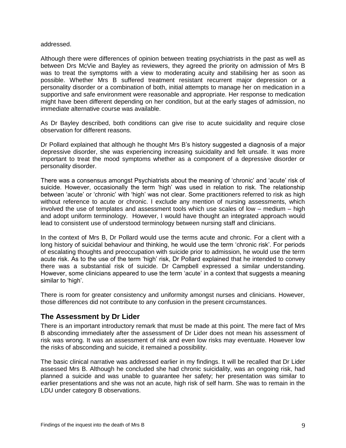#### addressed.

Although there were differences of opinion between treating psychiatrists in the past as well as between Drs McVie and Bayley as reviewers, they agreed the priority on admission of Mrs B was to treat the symptoms with a view to moderating acuity and stabilising her as soon as possible. Whether Mrs B suffered treatment resistant recurrent major depression or a personality disorder or a combination of both, initial attempts to manage her on medication in a supportive and safe environment were reasonable and appropriate. Her response to medication might have been different depending on her condition, but at the early stages of admission, no immediate alternative course was available.

As Dr Bayley described, both conditions can give rise to acute suicidality and require close observation for different reasons.

Dr Pollard explained that although he thought Mrs B's history suggested a diagnosis of a major depressive disorder, she was experiencing increasing suicidality and felt unsafe. It was more important to treat the mood symptoms whether as a component of a depressive disorder or personality disorder.

There was a consensus amongst Psychiatrists about the meaning of 'chronic' and 'acute' risk of suicide. However, occasionally the term 'high' was used in relation to risk. The relationship between 'acute' or 'chronic' with 'high' was not clear. Some practitioners referred to risk as high without reference to acute or chronic. I exclude any mention of nursing assessments, which involved the use of templates and assessment tools which use scales of low – medium – high and adopt uniform terminology. However, I would have thought an integrated approach would lead to consistent use of understood terminology between nursing staff and clinicians.

In the context of Mrs B, Dr Pollard would use the terms acute and chronic. For a client with a long history of suicidal behaviour and thinking, he would use the term 'chronic risk'. For periods of escalating thoughts and preoccupation with suicide prior to admission, he would use the term acute risk. As to the use of the term 'high' risk, Dr Pollard explained that he intended to convey there was a substantial risk of suicide. Dr Campbell expressed a similar understanding. However, some clinicians appeared to use the term 'acute' in a context that suggests a meaning similar to 'high'.

There is room for greater consistency and uniformity amongst nurses and clinicians. However, those differences did not contribute to any confusion in the present circumstances.

#### **The Assessment by Dr Lider**

There is an important introductory remark that must be made at this point. The mere fact of Mrs B absconding immediately after the assessment of Dr Lider does not mean his assessment of risk was wrong. It was an assessment of risk and even low risks may eventuate. However low the risks of absconding and suicide, it remained a possibility.

The basic clinical narrative was addressed earlier in my findings. It will be recalled that Dr Lider assessed Mrs B. Although he concluded she had chronic suicidality, was an ongoing risk, had planned a suicide and was unable to guarantee her safety; her presentation was similar to earlier presentations and she was not an acute, high risk of self harm. She was to remain in the LDU under category B observations.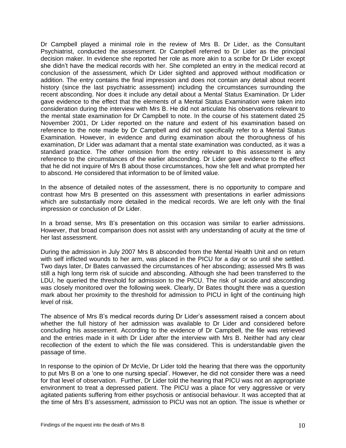Dr Campbell played a minimal role in the review of Mrs B. Dr Lider, as the Consultant Psychiatrist, conducted the assessment. Dr Campbell referred to Dr Lider as the principal decision maker. In evidence she reported her role as more akin to a scribe for Dr Lider except she didn't have the medical records with her. She completed an entry in the medical record at conclusion of the assessment, which Dr Lider sighted and approved without modification or addition. The entry contains the final impression and does not contain any detail about recent history (since the last psychiatric assessment) including the circumstances surrounding the recent absconding. Nor does it include any detail about a Mental Status Examination. Dr Lider gave evidence to the effect that the elements of a Mental Status Examination were taken into consideration during the interview with Mrs B. He did not articulate his observations relevant to the mental state examination for Dr Campbell to note. In the course of his statement dated 25 November 2001, Dr Lider reported on the nature and extent of his examination based on reference to the note made by Dr Campbell and did not specifically refer to a Mental Status Examination. However, in evidence and during examination about the thoroughness of his examination, Dr Lider was adamant that a mental state examination was conducted, as it was a standard practice. The other omission from the entry relevant to this assessment is any reference to the circumstances of the earlier absconding. Dr Lider gave evidence to the effect that he did not inquire of Mrs B about those circumstances, how she felt and what prompted her to abscond. He considered that information to be of limited value.

In the absence of detailed notes of the assessment, there is no opportunity to compare and contrast how Mrs B presented on this assessment with presentations in earlier admissions which are substantially more detailed in the medical records. We are left only with the final impression or conclusion of Dr Lider.

In a broad sense, Mrs B's presentation on this occasion was similar to earlier admissions. However, that broad comparison does not assist with any understanding of acuity at the time of her last assessment.

During the admission in July 2007 Mrs B absconded from the Mental Health Unit and on return with self inflicted wounds to her arm, was placed in the PICU for a day or so until she settled. Two days later, Dr Bates canvassed the circumstances of her absconding; assessed Mrs B was still a high long term risk of suicide and absconding. Although she had been transferred to the LDU, he queried the threshold for admission to the PICU. The risk of suicide and absconding was closely monitored over the following week. Clearly, Dr Bates thought there was a question mark about her proximity to the threshold for admission to PICU in light of the continuing high level of risk.

The absence of Mrs B's medical records during Dr Lider's assessment raised a concern about whether the full history of her admission was available to Dr Lider and considered before concluding his assessment. According to the evidence of Dr Campbell, the file was retrieved and the entries made in it with Dr Lider after the interview with Mrs B. Neither had any clear recollection of the extent to which the file was considered. This is understandable given the passage of time.

In response to the opinion of Dr McVie, Dr Lider told the hearing that there was the opportunity to put Mrs B on a 'one to one nursing special'. However, he did not consider there was a need for that level of observation. Further, Dr Lider told the hearing that PICU was not an appropriate environment to treat a depressed patient. The PICU was a place for very aggressive or very agitated patients suffering from either psychosis or antisocial behaviour. It was accepted that at the time of Mrs B's assessment, admission to PICU was not an option. The issue is whether or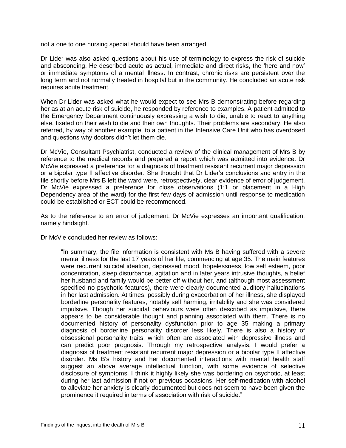not a one to one nursing special should have been arranged.

Dr Lider was also asked questions about his use of terminology to express the risk of suicide and absconding. He described acute as actual, immediate and direct risks, the 'here and now' or immediate symptoms of a mental illness. In contrast, chronic risks are persistent over the long term and not normally treated in hospital but in the community. He concluded an acute risk requires acute treatment.

When Dr Lider was asked what he would expect to see Mrs B demonstrating before regarding her as at an acute risk of suicide, he responded by reference to examples. A patient admitted to the Emergency Department continuously expressing a wish to die, unable to react to anything else, fixated on their wish to die and their own thoughts. Their problems are secondary. He also referred, by way of another example, to a patient in the Intensive Care Unit who has overdosed and questions why doctors didn't let them die.

Dr McVie, Consultant Psychiatrist, conducted a review of the clinical management of Mrs B by reference to the medical records and prepared a report which was admitted into evidence. Dr McVie expressed a preference for a diagnosis of treatment resistant recurrent major depression or a bipolar type II affective disorder. She thought that Dr Lider's conclusions and entry in the file shortly before Mrs B left the ward were, retrospectively, clear evidence of error of judgement. Dr McVie expressed a preference for close observations (1:1 or placement in a High Dependency area of the ward) for the first few days of admission until response to medication could be established or ECT could be recommenced.

As to the reference to an error of judgement, Dr McVie expresses an important qualification, namely hindsight.

Dr McVie concluded her review as follows:

"In summary, the file information is consistent with Ms B having suffered with a severe mental illness for the last 17 years of her life, commencing at age 35. The main features were recurrent suicidal ideation, depressed mood, hopelessness, low self esteem, poor concentration, sleep disturbance, agitation and in later years intrusive thoughts, a belief her husband and family would be better off without her, and (although most assessment specified no psychotic features), there were clearly documented auditory hallucinations in her last admission. At times, possibly during exacerbation of her illness, she displayed borderline personality features, notably self harming, irritability and she was considered impulsive. Though her suicidal behaviours were often described as impulsive, there appears to be considerable thought and planning associated with them. There is no documented history of personality dysfunction prior to age 35 making a primary diagnosis of borderline personality disorder less likely. There is also a history of obsessional personality traits, which often are associated with depressive illness and can predict poor prognosis. Through my retrospective analysis, I would prefer a diagnosis of treatment resistant recurrent major depression or a bipolar type II affective disorder. Ms B's history and her documented interactions with mental health staff suggest an above average intellectual function, with some evidence of selective disclosure of symptoms. I think it highly likely she was bordering on psychotic, at least during her last admission if not on previous occasions. Her self-medication with alcohol to alleviate her anxiety is clearly documented but does not seem to have been given the prominence it required in terms of association with risk of suicide."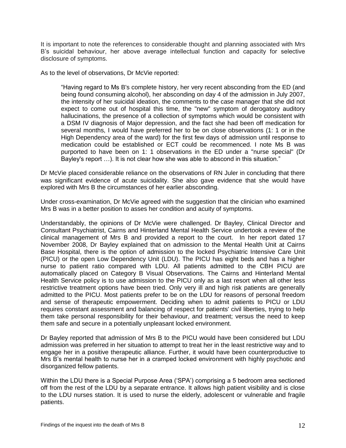It is important to note the references to considerable thought and planning associated with Mrs B's suicidal behaviour, her above average intellectual function and capacity for selective disclosure of symptoms.

As to the level of observations, Dr McVie reported:

"Having regard to Ms B's complete history, her very recent absconding from the ED (and being found consuming alcohol), her absconding on day 4 of the admission in July 2007, the intensity of her suicidal ideation, the comments to the case manager that she did not expect to come out of hospital this time, the "new" symptom of derogatory auditory hallucinations, the presence of a collection of symptoms which would be consistent with a DSM IV diagnosis of Major depression, and the fact she had been off medication for several months, I would have preferred her to be on close observations (1: 1 or in the High Dependency area of the ward) for the first few days of admission until response to medication could be established or ECT could be recommenced. I note Ms B was purported to have been on 1: 1 observations in the ED under a "nurse special" (Dr Bayley's report …). It is not clear how she was able to abscond in this situation."

Dr McVie placed considerable reliance on the observations of RN Juler in concluding that there was significant evidence of acute suicidality. She also gave evidence that she would have explored with Mrs B the circumstances of her earlier absconding.

Under cross-examination, Dr McVie agreed with the suggestion that the clinician who examined Mrs B was in a better position to asses her condition and acuity of symptoms.

Understandably, the opinions of Dr McVie were challenged. Dr Bayley, Clinical Director and Consultant Psychiatrist, Cairns and Hinterland Mental Health Service undertook a review of the clinical management of Mrs B and provided a report to the court. In her report dated 17 November 2008, Dr Bayley explained that on admission to the Mental Health Unit at Cairns Base Hospital, there is the option of admission to the locked Psychiatric Intensive Care Unit (PICU) or the open Low Dependency Unit (LDU). The PICU has eight beds and has a higher nurse to patient ratio compared with LDU. All patients admitted to the CBH PICU are automatically placed on Category B Visual Observations. The Cairns and Hinterland Mental Health Service policy is to use admission to the PICU only as a last resort when all other less restrictive treatment options have been tried. Only very ill and high risk patients are generally admitted to the PICU. Most patients prefer to be on the LDU for reasons of personal freedom and sense of therapeutic empowerment. Deciding when to admit patients to PICU or LDU requires constant assessment and balancing of respect for patients' civil liberties, trying to help them take personal responsibility for their behaviour, and treatment; versus the need to keep them safe and secure in a potentially unpleasant locked environment.

Dr Bayley reported that admission of Mrs B to the PICU would have been considered but LDU admission was preferred in her situation to attempt to treat her in the least restrictive way and to engage her in a positive therapeutic alliance. Further, it would have been counterproductive to Mrs B's mental health to nurse her in a cramped locked environment with highly psychotic and disorganized fellow patients.

Within the LDU there is a Special Purpose Area ('SPA') comprising a 5 bedroom area sectioned off from the rest of the LDU by a separate entrance. It allows high patient visibility and is close to the LDU nurses station. It is used to nurse the elderly, adolescent or vulnerable and fragile patients.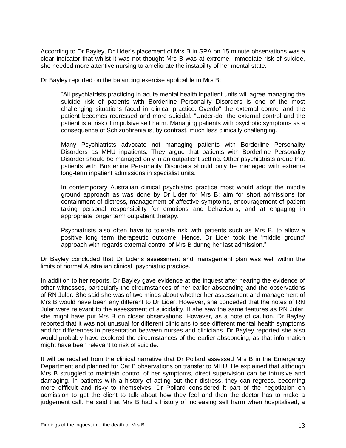According to Dr Bayley, Dr Lider's placement of Mrs B in SPA on 15 minute observations was a clear indicator that whilst it was not thought Mrs B was at extreme, immediate risk of suicide, she needed more attentive nursing to ameliorate the instability of her mental state.

Dr Bayley reported on the balancing exercise applicable to Mrs B:

"All psychiatrists practicing in acute mental health inpatient units will agree managing the suicide risk of patients with Borderline Personality Disorders is one of the most challenging situations faced in clinical practice."Overdo" the external control and the patient becomes regressed and more suicidal. "Under-do" the external control and the patient is at risk of impulsive self harm. Managing patients with psychotic symptoms as a consequence of Schizophrenia is, by contrast, much less clinically challenging.

Many Psychiatrists advocate not managing patients with Borderline Personality Disorders as MHU inpatients. They argue that patients with Borderline Personality Disorder should be managed only in an outpatient setting. Other psychiatrists argue that patients with Borderline Personality Disorders should only be managed with extreme long-term inpatient admissions in specialist units.

In contemporary Australian clinical psychiatric practice most would adopt the middle ground approach as was done by Dr Lider for Mrs B: aim for short admissions for containment of distress, management of affective symptoms, encouragement of patient taking personal responsibility for emotions and behaviours, and at engaging in appropriate longer term outpatient therapy.

Psychiatrists also often have to tolerate risk with patients such as Mrs B, to allow a positive long term therapeutic outcome. Hence, Dr Lider took the 'middle ground' approach with regards external control of Mrs B during her last admission."

Dr Bayley concluded that Dr Lider's assessment and management plan was well within the limits of normal Australian clinical, psychiatric practice.

In addition to her reports, Dr Bayley gave evidence at the inquest after hearing the evidence of other witnesses, particularly the circumstances of her earlier absconding and the observations of RN Juler. She said she was of two minds about whether her assessment and management of Mrs B would have been any different to Dr Lider. However, she conceded that the notes of RN Juler were relevant to the assessment of suicidality. If she saw the same features as RN Juler, she might have put Mrs B on closer observations. However, as a note of caution, Dr Bayley reported that it was not unusual for different clinicians to see different mental health symptoms and for differences in presentation between nurses and clinicians. Dr Bayley reported she also would probably have explored the circumstances of the earlier absconding, as that information might have been relevant to risk of suicide.

It will be recalled from the clinical narrative that Dr Pollard assessed Mrs B in the Emergency Department and planned for Cat B observations on transfer to MHU. He explained that although Mrs B struggled to maintain control of her symptoms, direct supervision can be intrusive and damaging. In patients with a history of acting out their distress, they can regress, becoming more difficult and risky to themselves. Dr Pollard considered it part of the negotiation on admission to get the client to talk about how they feel and then the doctor has to make a judgement call. He said that Mrs B had a history of increasing self harm when hospitalised, a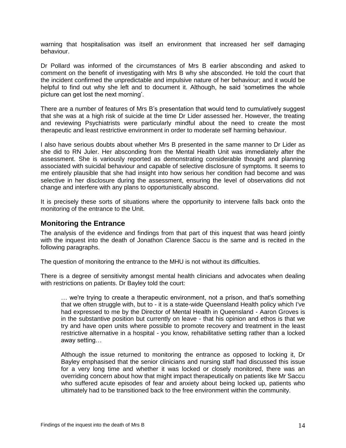warning that hospitalisation was itself an environment that increased her self damaging behaviour.

Dr Pollard was informed of the circumstances of Mrs B earlier absconding and asked to comment on the benefit of investigating with Mrs B why she absconded. He told the court that the incident confirmed the unpredictable and impulsive nature of her behaviour; and it would be helpful to find out why she left and to document it. Although, he said 'sometimes the whole picture can get lost the next morning'.

There are a number of features of Mrs B's presentation that would tend to cumulatively suggest that she was at a high risk of suicide at the time Dr Lider assessed her. However, the treating and reviewing Psychiatrists were particularly mindful about the need to create the most therapeutic and least restrictive environment in order to moderate self harming behaviour.

I also have serious doubts about whether Mrs B presented in the same manner to Dr Lider as she did to RN Juler. Her absconding from the Mental Health Unit was immediately after the assessment. She is variously reported as demonstrating considerable thought and planning associated with suicidal behaviour and capable of selective disclosure of symptoms. It seems to me entirely plausible that she had insight into how serious her condition had become and was selective in her disclosure during the assessment, ensuring the level of observations did not change and interfere with any plans to opportunistically abscond.

It is precisely these sorts of situations where the opportunity to intervene falls back onto the monitoring of the entrance to the Unit.

#### **Monitoring the Entrance**

The analysis of the evidence and findings from that part of this inquest that was heard jointly with the inquest into the death of Jonathon Clarence Saccu is the same and is recited in the following paragraphs.

The question of monitoring the entrance to the MHU is not without its difficulties.

There is a degree of sensitivity amongst mental health clinicians and advocates when dealing with restrictions on patients. Dr Bayley told the court:

… we're trying to create a therapeutic environment, not a prison, and that's something that we often struggle with, but to - it is a state-wide Queensland Health policy which I've had expressed to me by the Director of Mental Health in Queensland - Aaron Groves is in the substantive position but currently on leave - that his opinion and ethos is that we try and have open units where possible to promote recovery and treatment in the least restrictive alternative in a hospital - you know, rehabilitative setting rather than a locked away setting…

Although the issue returned to monitoring the entrance as opposed to locking it, Dr Bayley emphasised that the senior clinicians and nursing staff had discussed this issue for a very long time and whether it was locked or closely monitored, there was an overriding concern about how that might impact therapeutically on patients like Mr Saccu who suffered acute episodes of fear and anxiety about being locked up, patients who ultimately had to be transitioned back to the free environment within the community.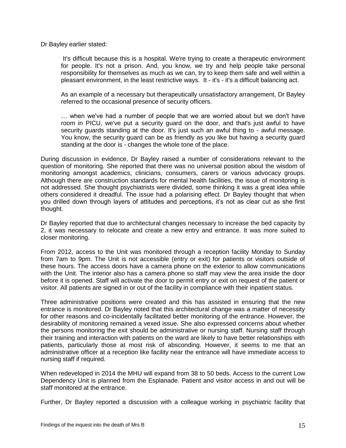Dr Bayley earlier stated:

It's difficult because this is a hospital. We're trying to create a therapeutic environment for people. It's not a prison. And, you know, we try and help people take personal responsibility for themselves as much as we can, try to keep them safe and well within a pleasant environment, in the least restrictive ways. It - it's - it's a difficult balancing act.

As an example of a necessary but therapeutically unsatisfactory arrangement, Dr Bayley referred to the occasional presence of security officers.

… when we've had a number of people that we are worried about but we don't have room in PICU, we've put a security guard on the door, and that's just awful to have security guards standing at the door. It's just such an awful thing to - awful message. You know, the security guard can be as friendly as you like but having a security guard standing at the door is - changes the whole tone of the place.

During discussion in evidence, Dr Bayley raised a number of considerations relevant to the question of monitoring. She reported that there was no universal position about the wisdom of monitoring amongst academics, clinicians, consumers, carers or various advocacy groups. Although there are construction standards for mental health facilities, the issue of monitoring is not addressed. She thought psychiatrists were divided, some thinking it was a great idea while others considered it dreadful. The issue had a polarising effect. Dr Bayley thought that when you drilled down through layers of attitudes and perceptions, it's not as clear cut as she first thought.

Dr Bayley reported that due to architectural changes necessary to increase the bed capacity by 2, it was necessary to relocate and create a new entry and entrance. It was more suited to closer monitoring.

From 2012, access to the Unit was monitored through a reception facility Monday to Sunday from 7am to 9pm. The Unit is not accessible (entry or exit) for patients or visitors outside of these hours. The access doors have a camera phone on the exterior to allow communications with the Unit. The interior also has a camera phone so staff may view the area inside the door before it is opened. Staff will activate the door to permit entry or exit on request of the patient or visitor. All patients are signed in or out of the facility in compliance with their inpatient status.

Three administrative positions were created and this has assisted in ensuring that the new entrance is monitored. Dr Bayley noted that this architectural change was a matter of necessity for other reasons and co-incidentally facilitated better monitoring of the entrance. However, the desirability of monitoring remained a vexed issue. She also expressed concerns about whether the persons monitoring the exit should be administrative or nursing staff. Nursing staff through their training and interaction with patients on the ward are likely to have better relationships with patients, particularly those at most risk of absconding. However, it seems to me that an administrative officer at a reception like facility near the entrance will have immediate access to nursing staff if required.

When redeveloped in 2014 the MHU will expand from 38 to 50 beds. Access to the current Low Dependency Unit is planned from the Esplanade. Patient and visitor access in and out will be staff monitored at the entrance.

Further, Dr Bayley reported a discussion with a colleague working in psychiatric facility that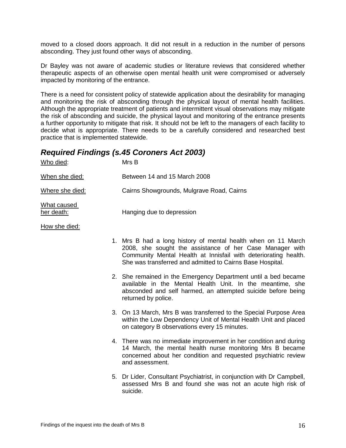moved to a closed doors approach. It did not result in a reduction in the number of persons absconding. They just found other ways of absconding.

Dr Bayley was not aware of academic studies or literature reviews that considered whether therapeutic aspects of an otherwise open mental health unit were compromised or adversely impacted by monitoring of the entrance.

There is a need for consistent policy of statewide application about the desirability for managing and monitoring the risk of absconding through the physical layout of mental health facilities. Although the appropriate treatment of patients and intermittent visual observations may mitigate the risk of absconding and suicide, the physical layout and monitoring of the entrance presents a further opportunity to mitigate that risk. It should not be left to the managers of each facility to decide what is appropriate. There needs to be a carefully considered and researched best practice that is implemented statewide.

#### *Required Findings (s.45 Coroners Act 2003)*

| Who died:                 | MrsB                                      |
|---------------------------|-------------------------------------------|
| When she died:            | Between 14 and 15 March 2008              |
| Where she died:           | Cairns Showgrounds, Mulgrave Road, Cairns |
| What caused<br>her death: | Hanging due to depression                 |

1. Mrs B had a long history of mental health when on 11 March 2008, she sought the assistance of her Case Manager with Community Mental Health at Innisfail with deteriorating health. She was transferred and admitted to Cairns Base Hospital.

- 2. She remained in the Emergency Department until a bed became available in the Mental Health Unit. In the meantime, she absconded and self harmed, an attempted suicide before being returned by police.
- 3. On 13 March, Mrs B was transferred to the Special Purpose Area within the Low Dependency Unit of Mental Health Unit and placed on category B observations every 15 minutes.
- 4. There was no immediate improvement in her condition and during 14 March, the mental health nurse monitoring Mrs B became concerned about her condition and requested psychiatric review and assessment.
- 5. Dr Lider, Consultant Psychiatrist, in conjunction with Dr Campbell, assessed Mrs B and found she was not an acute high risk of suicide.

How she died: